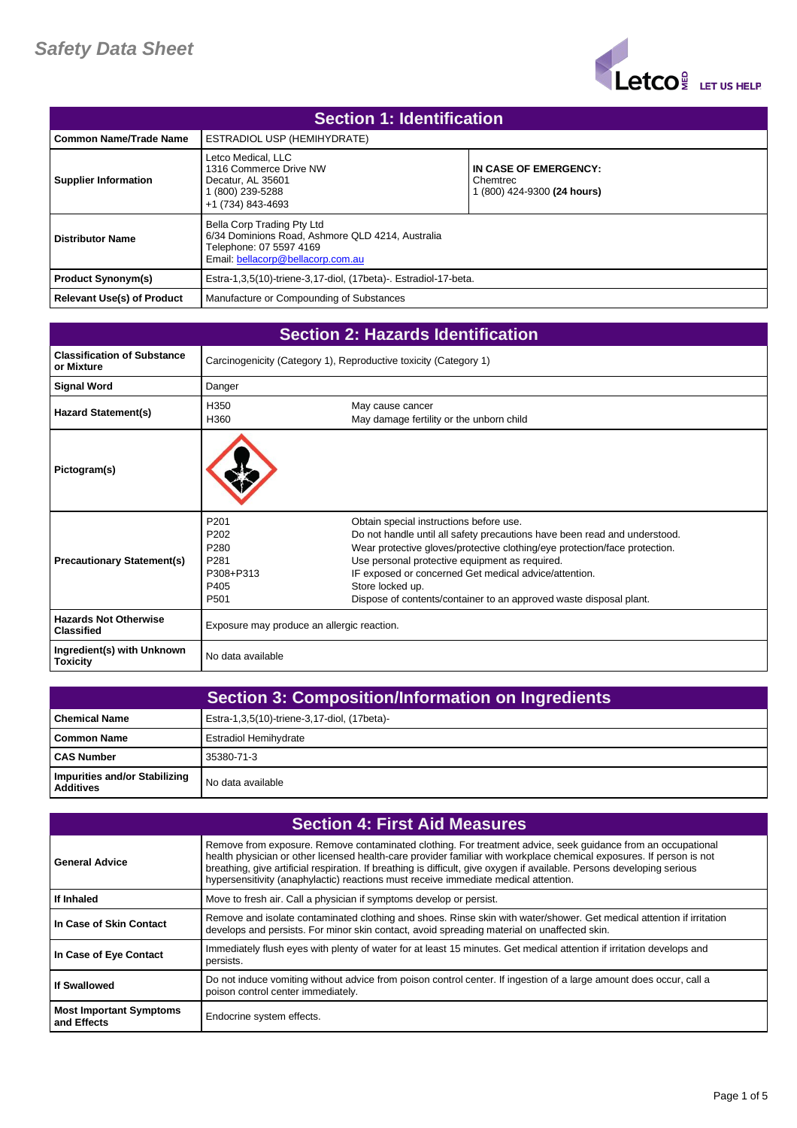

| <b>Section 1: Identification</b>  |                                                                                                                                                |                                                                  |
|-----------------------------------|------------------------------------------------------------------------------------------------------------------------------------------------|------------------------------------------------------------------|
| <b>Common Name/Trade Name</b>     | ESTRADIOL USP (HEMIHYDRATE)                                                                                                                    |                                                                  |
| <b>Supplier Information</b>       | Letco Medical, LLC<br>1316 Commerce Drive NW<br>Decatur. AL 35601<br>(800) 239-5288<br>+1 (734) 843-4693                                       | IN CASE OF EMERGENCY:<br>Chemtrec<br>1 (800) 424-9300 (24 hours) |
| <b>Distributor Name</b>           | Bella Corp Trading Pty Ltd<br>6/34 Dominions Road, Ashmore QLD 4214, Australia<br>Telephone: 07 5597 4169<br>Email: bellacorp@bellacorp.com.au |                                                                  |
| <b>Product Synonym(s)</b>         | Estra-1,3,5(10)-triene-3,17-diol, (17beta)-. Estradiol-17-beta.                                                                                |                                                                  |
| <b>Relevant Use(s) of Product</b> | Manufacture or Compounding of Substances                                                                                                       |                                                                  |

| <b>Section 2: Hazards Identification</b>          |                                                                                                           |                                                                                                                                                                                                                                                                                                                                                                                                         |
|---------------------------------------------------|-----------------------------------------------------------------------------------------------------------|---------------------------------------------------------------------------------------------------------------------------------------------------------------------------------------------------------------------------------------------------------------------------------------------------------------------------------------------------------------------------------------------------------|
| <b>Classification of Substance</b><br>or Mixture  | Carcinogenicity (Category 1), Reproductive toxicity (Category 1)                                          |                                                                                                                                                                                                                                                                                                                                                                                                         |
| <b>Signal Word</b>                                | Danger                                                                                                    |                                                                                                                                                                                                                                                                                                                                                                                                         |
| <b>Hazard Statement(s)</b>                        | H350<br>H360                                                                                              | May cause cancer<br>May damage fertility or the unborn child                                                                                                                                                                                                                                                                                                                                            |
| Pictogram(s)                                      |                                                                                                           |                                                                                                                                                                                                                                                                                                                                                                                                         |
| <b>Precautionary Statement(s)</b>                 | P <sub>201</sub><br>P <sub>202</sub><br>P <sub>280</sub><br>P <sub>281</sub><br>P308+P313<br>P405<br>P501 | Obtain special instructions before use.<br>Do not handle until all safety precautions have been read and understood.<br>Wear protective gloves/protective clothing/eye protection/face protection.<br>Use personal protective equipment as required.<br>IF exposed or concerned Get medical advice/attention.<br>Store locked up.<br>Dispose of contents/container to an approved waste disposal plant. |
| <b>Hazards Not Otherwise</b><br><b>Classified</b> | Exposure may produce an allergic reaction.                                                                |                                                                                                                                                                                                                                                                                                                                                                                                         |
| Ingredient(s) with Unknown<br><b>Toxicity</b>     | No data available                                                                                         |                                                                                                                                                                                                                                                                                                                                                                                                         |

|                                                   | <b>Section 3: Composition/Information on Ingredients</b> |
|---------------------------------------------------|----------------------------------------------------------|
| <b>Chemical Name</b>                              | Estra-1,3,5(10)-triene-3,17-diol, (17beta)-              |
| Common Name                                       | <b>Estradiol Hemihydrate</b>                             |
| <b>CAS Number</b>                                 | 35380-71-3                                               |
| Impurities and/or Stabilizing<br><b>Additives</b> | No data available                                        |

| <b>Section 4: First Aid Measures</b>          |                                                                                                                                                                                                                                                                                                                                                                                                                                                        |  |
|-----------------------------------------------|--------------------------------------------------------------------------------------------------------------------------------------------------------------------------------------------------------------------------------------------------------------------------------------------------------------------------------------------------------------------------------------------------------------------------------------------------------|--|
| <b>General Advice</b>                         | Remove from exposure. Remove contaminated clothing. For treatment advice, seek guidance from an occupational<br>health physician or other licensed health-care provider familiar with workplace chemical exposures. If person is not<br>breathing, give artificial respiration. If breathing is difficult, give oxygen if available. Persons developing serious<br>hypersensitivity (anaphylactic) reactions must receive immediate medical attention. |  |
| If Inhaled                                    | Move to fresh air. Call a physician if symptoms develop or persist.                                                                                                                                                                                                                                                                                                                                                                                    |  |
| In Case of Skin Contact                       | Remove and isolate contaminated clothing and shoes. Rinse skin with water/shower. Get medical attention if irritation<br>develops and persists. For minor skin contact, avoid spreading material on unaffected skin.                                                                                                                                                                                                                                   |  |
| In Case of Eye Contact                        | Immediately flush eyes with plenty of water for at least 15 minutes. Get medical attention if irritation develops and<br>persists.                                                                                                                                                                                                                                                                                                                     |  |
| <b>If Swallowed</b>                           | Do not induce vomiting without advice from poison control center. If ingestion of a large amount does occur, call a<br>poison control center immediately.                                                                                                                                                                                                                                                                                              |  |
| <b>Most Important Symptoms</b><br>and Effects | Endocrine system effects.                                                                                                                                                                                                                                                                                                                                                                                                                              |  |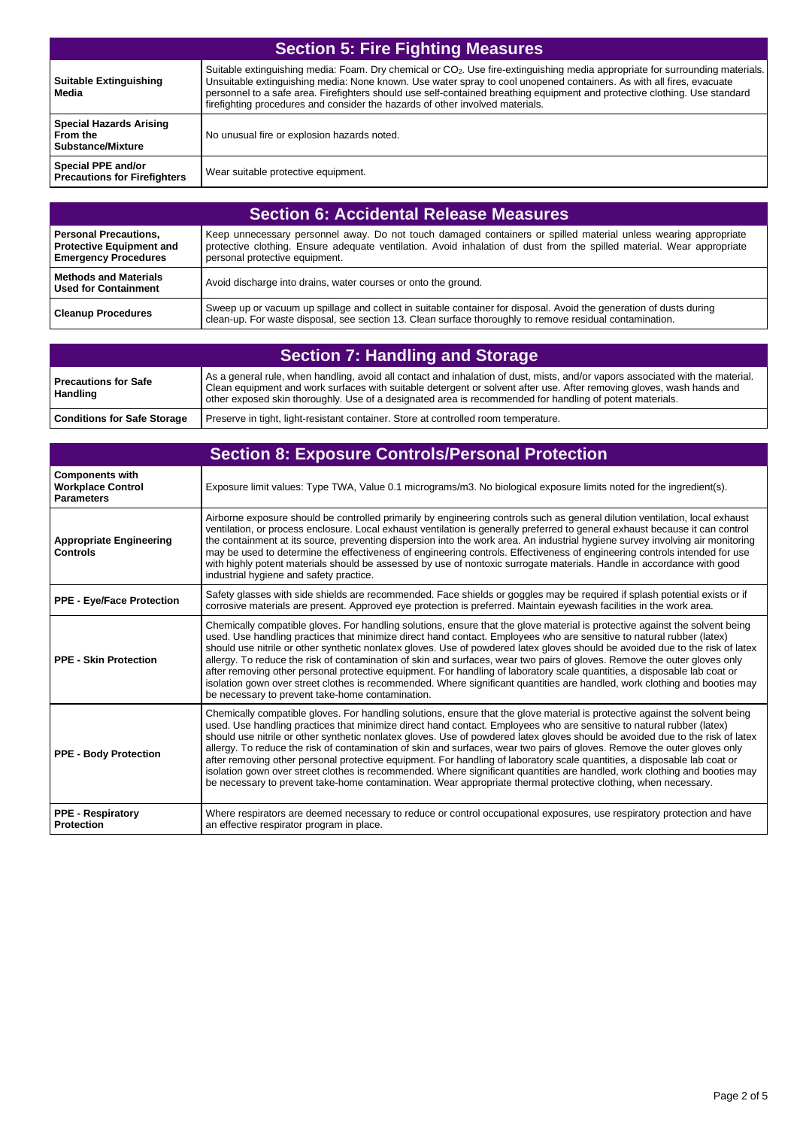| <b>Section 5: Fire Fighting Measures</b>                               |                                                                                                                                                                                                                                                                                                                                                                                                                                                                                  |  |
|------------------------------------------------------------------------|----------------------------------------------------------------------------------------------------------------------------------------------------------------------------------------------------------------------------------------------------------------------------------------------------------------------------------------------------------------------------------------------------------------------------------------------------------------------------------|--|
| <b>Suitable Extinguishing</b><br>Media                                 | Suitable extinguishing media: Foam. Dry chemical or CO <sub>2</sub> . Use fire-extinguishing media appropriate for surrounding materials.<br>Unsuitable extinguishing media: None known. Use water spray to cool unopened containers. As with all fires, evacuate<br>personnel to a safe area. Firefighters should use self-contained breathing equipment and protective clothing. Use standard<br>firefighting procedures and consider the hazards of other involved materials. |  |
| <b>Special Hazards Arising</b><br>From the<br><b>Substance/Mixture</b> | No unusual fire or explosion hazards noted.                                                                                                                                                                                                                                                                                                                                                                                                                                      |  |
| Special PPE and/or<br><b>Precautions for Firefighters</b>              | Wear suitable protective equipment.                                                                                                                                                                                                                                                                                                                                                                                                                                              |  |

| Section 6: Accidental Release Measures                                                         |                                                                                                                                                                                                                                                                             |  |
|------------------------------------------------------------------------------------------------|-----------------------------------------------------------------------------------------------------------------------------------------------------------------------------------------------------------------------------------------------------------------------------|--|
| <b>Personal Precautions,</b><br><b>Protective Equipment and</b><br><b>Emergency Procedures</b> | Keep unnecessary personnel away. Do not touch damaged containers or spilled material unless wearing appropriate<br>protective clothing. Ensure adequate ventilation. Avoid inhalation of dust from the spilled material. Wear appropriate<br>personal protective equipment. |  |
| <b>Nethods and Materials</b><br>Used for Containment                                           | Avoid discharge into drains, water courses or onto the ground.                                                                                                                                                                                                              |  |
| <b>Cleanup Procedures</b>                                                                      | Sweep up or vacuum up spillage and collect in suitable container for disposal. Avoid the generation of dusts during<br>clean-up. For waste disposal, see section 13. Clean surface thoroughly to remove residual contamination.                                             |  |

| <b>Section 7: Handling and Storage</b>         |                                                                                                                                                                                                                                                                                                                                                                     |  |
|------------------------------------------------|---------------------------------------------------------------------------------------------------------------------------------------------------------------------------------------------------------------------------------------------------------------------------------------------------------------------------------------------------------------------|--|
| <b>Precautions for Safe</b><br><b>Handling</b> | As a general rule, when handling, avoid all contact and inhalation of dust, mists, and/or vapors associated with the material.<br>Clean equipment and work surfaces with suitable detergent or solvent after use. After removing gloves, wash hands and<br>other exposed skin thoroughly. Use of a designated area is recommended for handling of potent materials. |  |
| <b>Conditions for Safe Storage</b>             | Preserve in tight, light-resistant container. Store at controlled room temperature.                                                                                                                                                                                                                                                                                 |  |

| <b>Section 8: Exposure Controls/Personal Protection</b>                 |                                                                                                                                                                                                                                                                                                                                                                                                                                                                                                                                                                                                                                                                                                                                                                                                                                                                                                   |  |
|-------------------------------------------------------------------------|---------------------------------------------------------------------------------------------------------------------------------------------------------------------------------------------------------------------------------------------------------------------------------------------------------------------------------------------------------------------------------------------------------------------------------------------------------------------------------------------------------------------------------------------------------------------------------------------------------------------------------------------------------------------------------------------------------------------------------------------------------------------------------------------------------------------------------------------------------------------------------------------------|--|
| <b>Components with</b><br><b>Workplace Control</b><br><b>Parameters</b> | Exposure limit values: Type TWA, Value 0.1 micrograms/m3. No biological exposure limits noted for the ingredient(s).                                                                                                                                                                                                                                                                                                                                                                                                                                                                                                                                                                                                                                                                                                                                                                              |  |
| <b>Appropriate Engineering</b><br><b>Controls</b>                       | Airborne exposure should be controlled primarily by engineering controls such as general dilution ventilation, local exhaust<br>ventilation, or process enclosure. Local exhaust ventilation is generally preferred to general exhaust because it can control<br>the containment at its source, preventing dispersion into the work area. An industrial hygiene survey involving air monitoring<br>may be used to determine the effectiveness of engineering controls. Effectiveness of engineering controls intended for use<br>with highly potent materials should be assessed by use of nontoxic surrogate materials. Handle in accordance with good<br>industrial hygiene and safety practice.                                                                                                                                                                                                |  |
| <b>PPE - Eye/Face Protection</b>                                        | Safety glasses with side shields are recommended. Face shields or goggles may be required if splash potential exists or if<br>corrosive materials are present. Approved eye protection is preferred. Maintain eyewash facilities in the work area.                                                                                                                                                                                                                                                                                                                                                                                                                                                                                                                                                                                                                                                |  |
| <b>PPE - Skin Protection</b>                                            | Chemically compatible gloves. For handling solutions, ensure that the glove material is protective against the solvent being<br>used. Use handling practices that minimize direct hand contact. Employees who are sensitive to natural rubber (latex)<br>should use nitrile or other synthetic nonlatex gloves. Use of powdered latex gloves should be avoided due to the risk of latex<br>allergy. To reduce the risk of contamination of skin and surfaces, wear two pairs of gloves. Remove the outer gloves only<br>after removing other personal protective equipment. For handling of laboratory scale quantities, a disposable lab coat or<br>isolation gown over street clothes is recommended. Where significant quantities are handled, work clothing and booties may<br>be necessary to prevent take-home contamination.                                                               |  |
| <b>PPE - Body Protection</b>                                            | Chemically compatible gloves. For handling solutions, ensure that the glove material is protective against the solvent being<br>used. Use handling practices that minimize direct hand contact. Employees who are sensitive to natural rubber (latex)<br>should use nitrile or other synthetic nonlatex gloves. Use of powdered latex gloves should be avoided due to the risk of latex<br>allergy. To reduce the risk of contamination of skin and surfaces, wear two pairs of gloves. Remove the outer gloves only<br>after removing other personal protective equipment. For handling of laboratory scale quantities, a disposable lab coat or<br>isolation gown over street clothes is recommended. Where significant quantities are handled, work clothing and booties may<br>be necessary to prevent take-home contamination. Wear appropriate thermal protective clothing, when necessary. |  |
| <b>PPE - Respiratory</b><br><b>Protection</b>                           | Where respirators are deemed necessary to reduce or control occupational exposures, use respiratory protection and have<br>an effective respirator program in place.                                                                                                                                                                                                                                                                                                                                                                                                                                                                                                                                                                                                                                                                                                                              |  |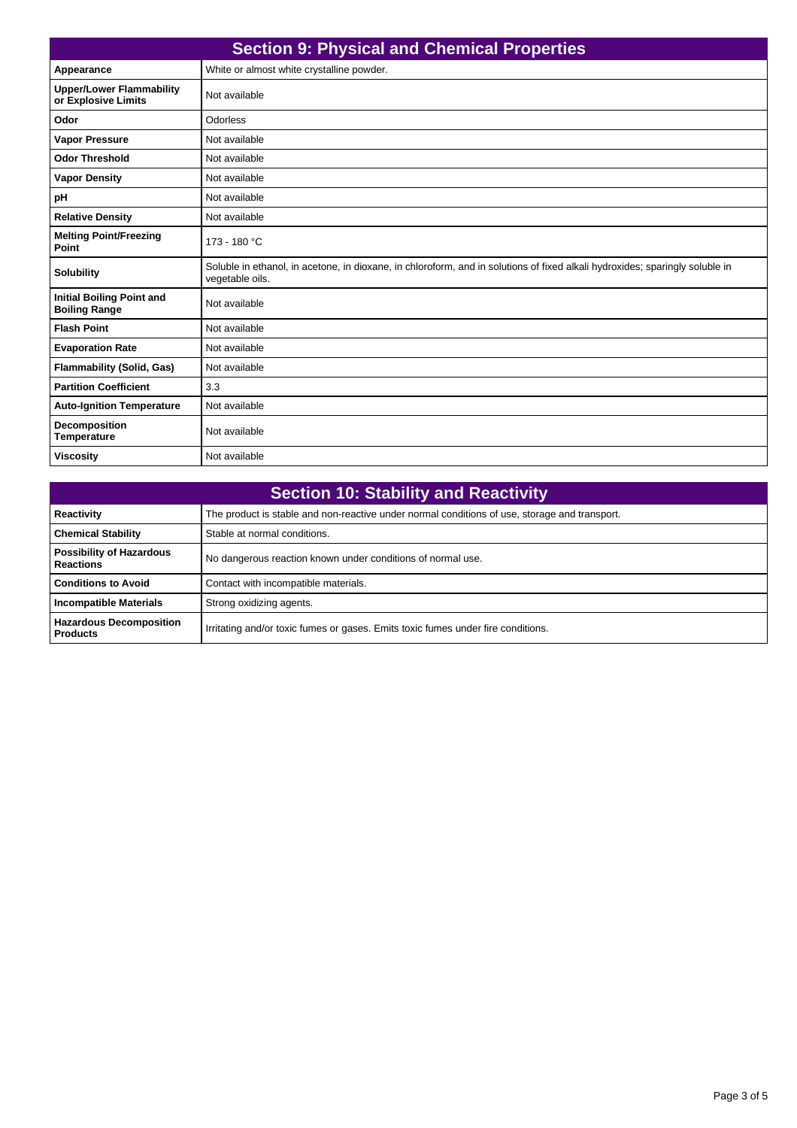| <b>Section 9: Physical and Chemical Properties</b>       |                                                                                                                                                 |  |
|----------------------------------------------------------|-------------------------------------------------------------------------------------------------------------------------------------------------|--|
| Appearance                                               | White or almost white crystalline powder.                                                                                                       |  |
| <b>Upper/Lower Flammability</b><br>or Explosive Limits   | Not available                                                                                                                                   |  |
| Odor                                                     | Odorless                                                                                                                                        |  |
| <b>Vapor Pressure</b>                                    | Not available                                                                                                                                   |  |
| <b>Odor Threshold</b>                                    | Not available                                                                                                                                   |  |
| <b>Vapor Density</b>                                     | Not available                                                                                                                                   |  |
| pH                                                       | Not available                                                                                                                                   |  |
| <b>Relative Density</b>                                  | Not available                                                                                                                                   |  |
| <b>Melting Point/Freezing</b><br>Point                   | 173 - 180 °C                                                                                                                                    |  |
| <b>Solubility</b>                                        | Soluble in ethanol, in acetone, in dioxane, in chloroform, and in solutions of fixed alkali hydroxides; sparingly soluble in<br>vegetable oils. |  |
| <b>Initial Boiling Point and</b><br><b>Boiling Range</b> | Not available                                                                                                                                   |  |
| <b>Flash Point</b>                                       | Not available                                                                                                                                   |  |
| <b>Evaporation Rate</b>                                  | Not available                                                                                                                                   |  |
| <b>Flammability (Solid, Gas)</b>                         | Not available                                                                                                                                   |  |
| <b>Partition Coefficient</b>                             | 3.3                                                                                                                                             |  |
| <b>Auto-Ignition Temperature</b>                         | Not available                                                                                                                                   |  |
| <b>Decomposition</b><br><b>Temperature</b>               | Not available                                                                                                                                   |  |
| <b>Viscosity</b>                                         | Not available                                                                                                                                   |  |

| <b>Section 10: Stability and Reactivity</b>         |                                                                                               |  |
|-----------------------------------------------------|-----------------------------------------------------------------------------------------------|--|
| Reactivity                                          | The product is stable and non-reactive under normal conditions of use, storage and transport. |  |
| <b>Chemical Stability</b>                           | Stable at normal conditions.                                                                  |  |
| <b>Possibility of Hazardous</b><br><b>Reactions</b> | No dangerous reaction known under conditions of normal use.                                   |  |
| <b>Conditions to Avoid</b>                          | Contact with incompatible materials.                                                          |  |
| <b>Incompatible Materials</b>                       | Strong oxidizing agents.                                                                      |  |
| <b>Hazardous Decomposition</b><br><b>Products</b>   | Irritating and/or toxic fumes or gases. Emits toxic fumes under fire conditions.              |  |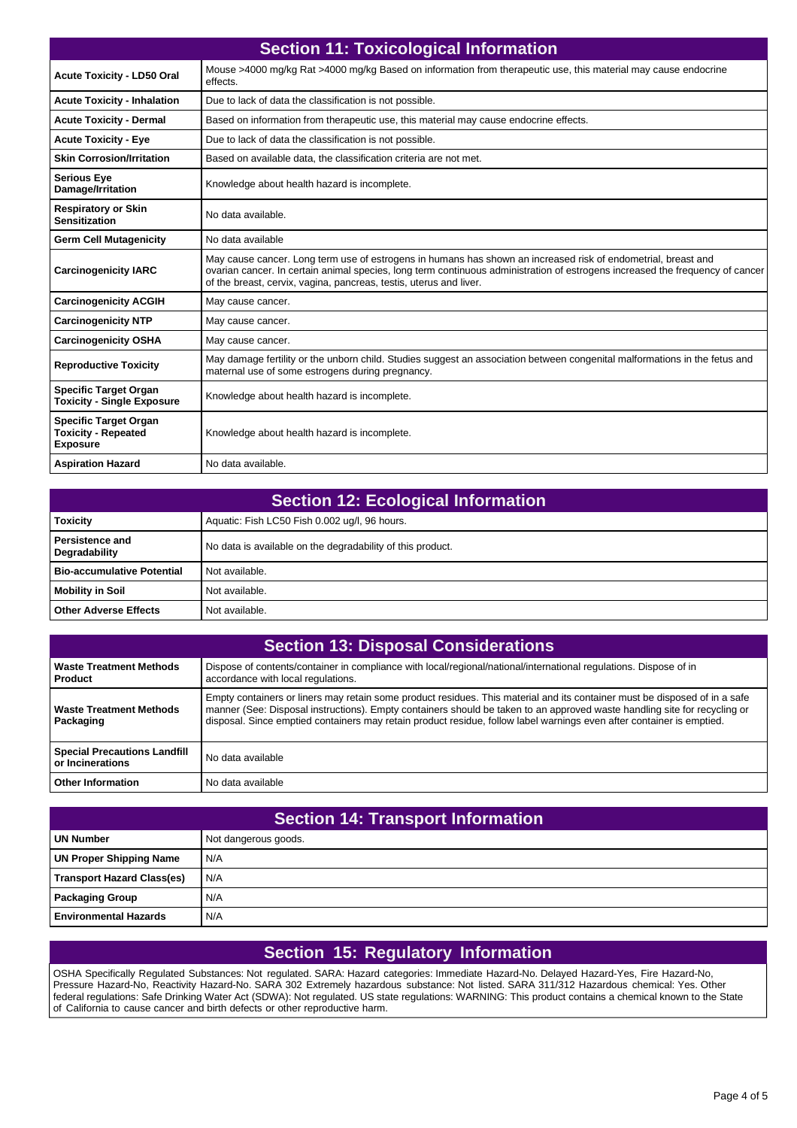|                                                                               | <b>Section 11: Toxicological Information</b>                                                                                                                                                                                                                                                                         |  |
|-------------------------------------------------------------------------------|----------------------------------------------------------------------------------------------------------------------------------------------------------------------------------------------------------------------------------------------------------------------------------------------------------------------|--|
| <b>Acute Toxicity - LD50 Oral</b>                                             | Mouse >4000 mg/kg Rat >4000 mg/kg Based on information from therapeutic use, this material may cause endocrine<br>effects.                                                                                                                                                                                           |  |
| <b>Acute Toxicity - Inhalation</b>                                            | Due to lack of data the classification is not possible.                                                                                                                                                                                                                                                              |  |
| <b>Acute Toxicity - Dermal</b>                                                | Based on information from therapeutic use, this material may cause endocrine effects.                                                                                                                                                                                                                                |  |
| <b>Acute Toxicity - Eye</b>                                                   | Due to lack of data the classification is not possible.                                                                                                                                                                                                                                                              |  |
| <b>Skin Corrosion/Irritation</b>                                              | Based on available data, the classification criteria are not met.                                                                                                                                                                                                                                                    |  |
| <b>Serious Eye</b><br>Damage/Irritation                                       | Knowledge about health hazard is incomplete.                                                                                                                                                                                                                                                                         |  |
| <b>Respiratory or Skin</b><br><b>Sensitization</b>                            | No data available.                                                                                                                                                                                                                                                                                                   |  |
| <b>Germ Cell Mutagenicity</b>                                                 | No data available                                                                                                                                                                                                                                                                                                    |  |
| <b>Carcinogenicity IARC</b>                                                   | May cause cancer. Long term use of estrogens in humans has shown an increased risk of endometrial, breast and<br>ovarian cancer. In certain animal species, long term continuous administration of estrogens increased the frequency of cancer<br>of the breast, cervix, vagina, pancreas, testis, uterus and liver. |  |
| <b>Carcinogenicity ACGIH</b>                                                  | May cause cancer.                                                                                                                                                                                                                                                                                                    |  |
| <b>Carcinogenicity NTP</b>                                                    | May cause cancer.                                                                                                                                                                                                                                                                                                    |  |
| <b>Carcinogenicity OSHA</b>                                                   | May cause cancer.                                                                                                                                                                                                                                                                                                    |  |
| <b>Reproductive Toxicity</b>                                                  | May damage fertility or the unborn child. Studies suggest an association between congenital malformations in the fetus and<br>maternal use of some estrogens during pregnancy.                                                                                                                                       |  |
| <b>Specific Target Organ</b><br><b>Toxicity - Single Exposure</b>             | Knowledge about health hazard is incomplete.                                                                                                                                                                                                                                                                         |  |
| <b>Specific Target Organ</b><br><b>Toxicity - Repeated</b><br><b>Exposure</b> | Knowledge about health hazard is incomplete.                                                                                                                                                                                                                                                                         |  |
| <b>Aspiration Hazard</b>                                                      | No data available.                                                                                                                                                                                                                                                                                                   |  |

| <b>Section 12: Ecological Information</b> |  |
|-------------------------------------------|--|
|-------------------------------------------|--|

| <b>Toxicity</b>                  | Aquatic: Fish LC50 Fish 0.002 ug/l, 96 hours.              |
|----------------------------------|------------------------------------------------------------|
| Persistence and<br>Degradability | No data is available on the degradability of this product. |
| l Bio-accumulative Potential     | Not available.                                             |
| Mobility in Soil                 | Not available.                                             |
| <b>Other Adverse Effects</b>     | Not available.                                             |

| <b>Section 13: Disposal Considerations</b>              |                                                                                                                                                                                                                                                                                                                                                                                  |  |
|---------------------------------------------------------|----------------------------------------------------------------------------------------------------------------------------------------------------------------------------------------------------------------------------------------------------------------------------------------------------------------------------------------------------------------------------------|--|
| <b>Waste Treatment Methods</b><br>Product               | Dispose of contents/container in compliance with local/regional/national/international regulations. Dispose of in<br>accordance with local regulations.                                                                                                                                                                                                                          |  |
| <b>Waste Treatment Methods</b><br>Packaging             | Empty containers or liners may retain some product residues. This material and its container must be disposed of in a safe<br>manner (See: Disposal instructions). Empty containers should be taken to an approved waste handling site for recycling or<br>disposal. Since emptied containers may retain product residue, follow label warnings even after container is emptied. |  |
| <b>Special Precautions Landfill</b><br>or Incinerations | No data available                                                                                                                                                                                                                                                                                                                                                                |  |
| <b>Other Information</b>                                | No data available                                                                                                                                                                                                                                                                                                                                                                |  |

| <b>Section 14: Transport Information</b> |                      |  |
|------------------------------------------|----------------------|--|
| <b>UN Number</b>                         | Not dangerous goods. |  |
| <b>UN Proper Shipping Name</b>           | N/A                  |  |
| <b>Transport Hazard Class(es)</b>        | N/A                  |  |
| <b>Packaging Group</b>                   | N/A                  |  |
| l Environmental Hazards                  | N/A                  |  |

## **Section 15: Regulatory Information**

OSHA Specifically Regulated Substances: Not regulated. SARA: Hazard categories: Immediate Hazard-No. Delayed Hazard-Yes, Fire Hazard-No, Pressure Hazard-No, Reactivity Hazard-No. SARA 302 Extremely hazardous substance: Not listed. SARA 311/312 Hazardous chemical: Yes. Other federal regulations: Safe Drinking Water Act (SDWA): Not regulated. US state regulations: WARNING: This product contains a chemical known to the State of California to cause cancer and birth defects or other reproductive harm.